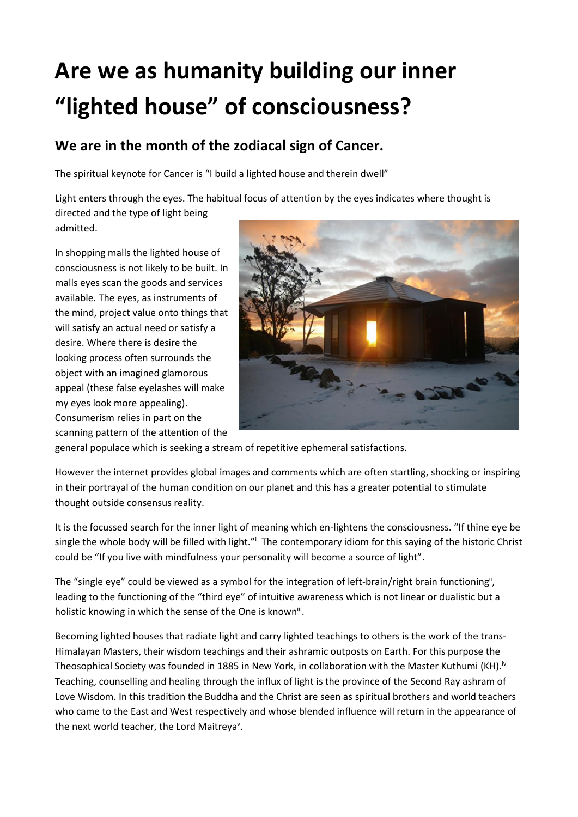## **Are we as humanity building our inner "lighted house" of consciousness?**

## **We are in the month of the zodiacal sign of Cancer.**

The spiritual keynote for Cancer is "I build a lighted house and therein dwell"

Light enters through the eyes. The habitual focus of attention by the eyes indicates where thought is directed and the type of light being admitted.

In shopping malls the lighted house of consciousness is not likely to be built. In malls eyes scan the goods and services available. The eyes, as instruments of the mind, project value onto things that will satisfy an actual need or satisfy a desire. Where there is desire the looking process often surrounds the object with an imagined glamorous appeal (these false eyelashes will make my eyes look more appealing). Consumerism relies in part on the scanning pattern of the attention of the



general populace which is seeking a stream of repetitive ephemeral satisfactions.

However the internet provides global images and comments which are often startling, shocking or inspiring in their portrayal of the human condition on our planet and this has a greater potential to stimulate thought outside consensus reality.

It is the focussed search for the inner light of meaning which en-lightens the consciousness. "If thine eye be single the whole body will be filled with light."<sup>i</sup> The contemporary idiom for this saying of the historic Christ could be "If you live with mindfulness your personality will become a source of light".

The "single eye" could be viewed as a symbol for the integration of left-brain/right brain functioning<sup>ii</sup>, leading to the functioning of the "third eye" of intuitive awareness which is not linear or dualistic but a holistic knowing in which the sense of the One is known<sup>iii</sup>.

Becoming lighted houses that radiate light and carry lighted teachings to others is the work of the trans-Himalayan Masters, their wisdom teachings and their ashramic outposts on Earth. For this purpose the Theosophical Society was founded in 1885 in New York, in collaboration with the Master Kuthumi (KH).<sup>iv</sup> Teaching, counselling and healing through the influx of light is the province of the Second Ray ashram of Love Wisdom. In this tradition the Buddha and the Christ are seen as spiritual brothers and world teachers who came to the East and West respectively and whose blended influence will return in the appearance of the next world teacher, the Lord Maitreya".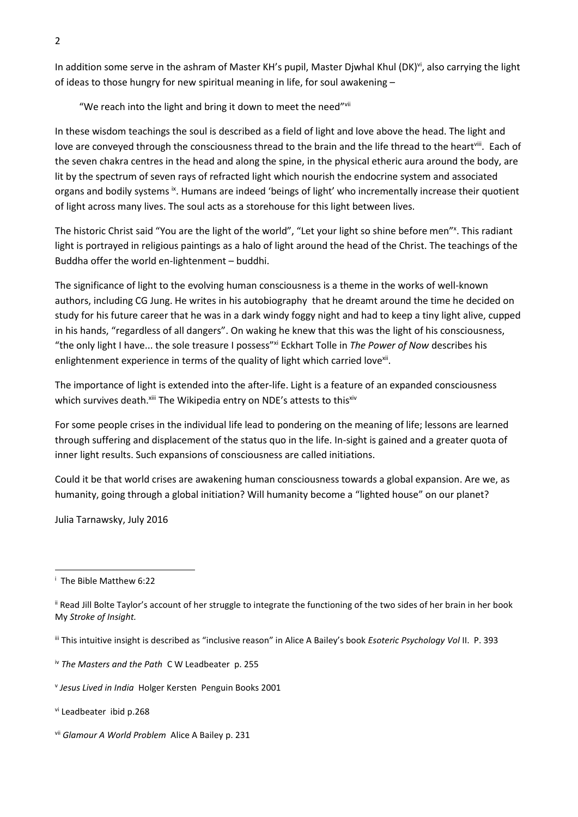In addition some serve in the ashram of Master KH's pupil, Master Djwhal Khul (DK)<sup>vi</sup>, also carrying the light of ideas to those hungry for new spiritual meaning in life, for soul awakening –

"We reach into the light and bring it down to meet the need"vii

In these wisdom teachings the soul is described as a field of light and love above the head. The light and love are conveyed through the consciousness thread to the brain and the life thread to the heart<sup>viii</sup>. Each of the seven chakra centres in the head and along the spine, in the physical etheric aura around the body, are lit by the spectrum of seven rays of refracted light which nourish the endocrine system and associated organs and bodily systems <sup>ix</sup>. Humans are indeed 'beings of light' who incrementally increase their quotient of light across many lives. The soul acts as a storehouse for this light between lives.

The historic Christ said "You are the light of the world", "Let your light so shine before men"<sup>x</sup>. This radiant light is portrayed in religious paintings as a halo of light around the head of the Christ. The teachings of the Buddha offer the world en-lightenment – buddhi.

The significance of light to the evolving human consciousness is a theme in the works of well-known authors, including CG Jung. He writes in his autobiography that he dreamt around the time he decided on study for his future career that he was in a dark windy foggy night and had to keep a tiny light alive, cupped in his hands, "regardless of all dangers". On waking he knew that this was the light of his consciousness, "the only light I have... the sole treasure I possess"xi Eckhart Tolle in *The Power of Now* describes his enlightenment experience in terms of the quality of light which carried love<sup>xii</sup>.

The importance of light is extended into the after-life. Light is a feature of an expanded consciousness which survives death.<sup>xiii</sup> The Wikipedia entry on NDE's attests to this<sup>xiv</sup>

For some people crises in the individual life lead to pondering on the meaning of life; lessons are learned through suffering and displacement of the status quo in the life. In-sight is gained and a greater quota of inner light results. Such expansions of consciousness are called initiations.

Could it be that world crises are awakening human consciousness towards a global expansion. Are we, as humanity, going through a global initiation? Will humanity become a "lighted house" on our planet?

Julia Tarnawsky, July 2016

 $\overline{a}$ 

i The Bible Matthew 6:22

ii Read Jill Bolte Taylor's account of her struggle to integrate the functioning of the two sides of her brain in her book My *Stroke of Insight.*

iii This intuitive insight is described as "inclusive reason" in Alice A Bailey's book *Esoteric Psychology Vol* II. P. 393

iv *The Masters and the Path* C W Leadbeater p. 255

v *Jesus Lived in India* Holger Kersten Penguin Books 2001

vi Leadbeater ibid p.268

vii *Glamour A World Problem* Alice A Bailey p. 231